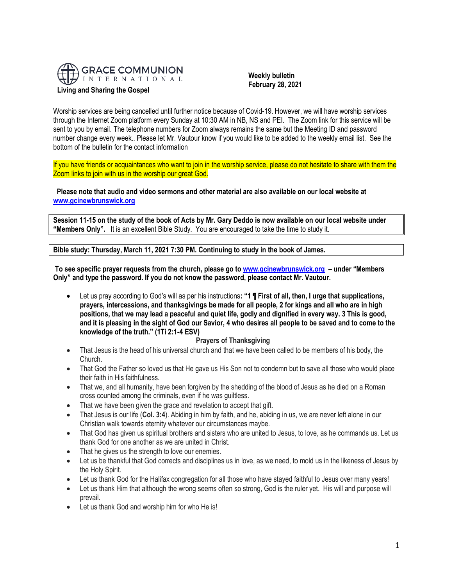

 **Weekly bulletin February 28, 2021**

Worship services are being cancelled until further notice because of Covid-19. However, we will have worship services through the Internet Zoom platform every Sunday at 10:30 AM in NB, NS and PEI. The Zoom link for this service will be sent to you by email. The telephone numbers for Zoom always remains the same but the Meeting ID and password number change every week.. Please let Mr. Vautour know if you would like to be added to the weekly email list. See the bottom of the bulletin for the contact information

If you have friends or acquaintances who want to join in the worship service, please do not hesitate to share with them the Zoom links to join with us in the worship our great God.

**Please note that audio and video sermons and other material are also available on our local website at [www.gcinewbrunswick.org](http://www.gcinewbrunswick.org/)**

**Session 11-15 on the study of the book of Acts by Mr. Gary Deddo is now available on our local website under "Members Only".** It is an excellent Bible Study. You are encouraged to take the time to study it.

**Bible study: Thursday, March 11, 2021 7:30 PM. Continuing to study in the book of James.**

**To see specific prayer requests from the church, please go t[o www.gcinewbrunswick.org](http://www.gcinewbrunswick.org/) – under "Members Only" and type the password. If you do not know the password, please contact Mr. Vautour.**

• Let us pray according to God's will as per his instructions**: "1 ¶ First of all, then, I urge that supplications, prayers, intercessions, and thanksgivings be made for all people, 2 for kings and all who are in high positions, that we may lead a peaceful and quiet life, godly and dignified in every way. 3 This is good, and it is pleasing in the sight of God our Savior, 4 who desires all people to be saved and to come to the knowledge of the truth." (1Ti 2:1-4 ESV)** 

#### **Prayers of Thanksgiving**

- That Jesus is the head of his universal church and that we have been called to be members of his body, the Church.
- That God the Father so loved us that He gave us His Son not to condemn but to save all those who would place their faith in His faithfulness.
- That we, and all humanity, have been forgiven by the shedding of the blood of Jesus as he died on a Roman cross counted among the criminals, even if he was guiltless.
- That we have been given the grace and revelation to accept that gift.
- That Jesus is our life (**Col. 3:4**). Abiding in him by faith, and he, abiding in us, we are never left alone in our Christian walk towards eternity whatever our circumstances maybe.
- That God has given us spiritual brothers and sisters who are united to Jesus, to love, as he commands us. Let us thank God for one another as we are united in Christ.
- That he gives us the strength to love our enemies.
- Let us be thankful that God corrects and disciplines us in love, as we need, to mold us in the likeness of Jesus by the Holy Spirit.
- Let us thank God for the Halifax congregation for all those who have stayed faithful to Jesus over many years!
- Let us thank Him that although the wrong seems often so strong, God is the ruler yet. His will and purpose will prevail.
- Let us thank God and worship him for who He is!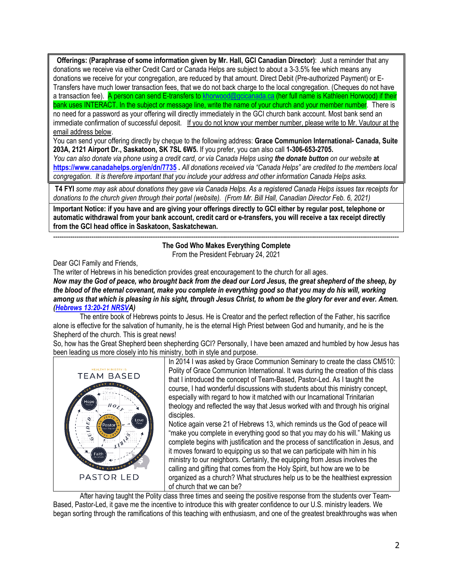**Offerings: (Paraphrase of some information given by Mr. Hall, GCI Canadian Director)**: Just a reminder that any donations we receive via either Credit Card or Canada Helps are subject to about a 3-3.5% fee which means any donations we receive for your congregation, are reduced by that amount. Direct Debit (Pre-authorized Payment) or E-Transfers have much lower transaction fees, that we do not back charge to the local congregation. (Cheques do not have a transaction fee). A person can send E-transfers to [khorwood@gcicanada.ca](mailto:khorwood@gcicanada.ca) (her full name is Kathleen Horwood) if their bank uses INTERACT. In the subject or message line, write the name of your church and your member number. There is no need for a password as your offering will directly immediately in the GCI church bank account. Most bank send an immediate confirmation of successful deposit. If you do not know your member number, please write to Mr. Vautour at the email address below.

You can send your offering directly by cheque to the following address: **Grace Communion International- Canada, Suite 203A, 2121 Airport Dr., Saskatoon, SK 7SL 6W5.** If you prefer, you can also call **1-306-653-2705.** 

*You can also donate via phone using a credit card, or via Canada Helps using the donate button on our website* **at <https://www.canadahelps.org/en/dn/7735> .** *All donations received via "Canada Helps" are credited to the members local congregation. It is therefore important that you include your address and other information Canada Helps asks.*

**T4 FYI** *some may ask about donations they gave via Canada Helps. As a registered Canada Helps issues tax receipts for donations to the church given through their portal (website). (From Mr. Bill Hall, Canadian Director Feb. 6, 2021)*

**Important Notice: if you have and are giving your offerings directly to GCI either by regular post, telephone or automatic withdrawal from your bank account, credit card or e-transfers, you will receive a tax receipt directly from the GCI head office in Saskatoon, Saskatchewan.** 

------------------------------------------------------------------------------------------------------------------------------------------------------------------- **The God Who Makes Everything Complete** From the President February 24, 2021

Dear GCI Family and Friends,

The writer of Hebrews in his benediction provides great encouragement to the church for all ages.

*Now may the God of peace, who brought back from the dead our Lord Jesus, the great shepherd of the sheep, by the blood of the eternal covenant, make you complete in everything good so that you may do his will, working among us that which is pleasing in his sight, through Jesus Christ, to whom be the glory for ever and ever. Amen. [\(Hebrews 13:20-21 NRSVA](https://biblia.com/bible/nrsv/Heb%2013.20-21))*

The entire book of Hebrews points to Jesus. He is Creator and the perfect reflection of the Father, his sacrifice alone is effective for the salvation of humanity, he is the eternal High Priest between God and humanity, and he is the Shepherd of the church. This is great news!

So, how has the Great Shepherd been shepherding GCI? Personally, I have been amazed and humbled by how Jesus has been leading us more closely into his ministry, both in style and purpose.



In 2014 I was asked by Grace Communion Seminary to create the class CM510: Polity of Grace Communion International. It was during the creation of this class that I introduced the concept of Team-Based, Pastor-Led. As I taught the course, I had wonderful discussions with students about this ministry concept, especially with regard to how it matched with our Incarnational Trinitarian theology and reflected the way that Jesus worked with and through his original disciples.

Notice again verse 21 of Hebrews 13, which reminds us the God of peace will "make you complete in everything good so that you may do his will." Making us complete begins with justification and the process of sanctification in Jesus, and it moves forward to equipping us so that we can participate with him in his ministry to our neighbors. Certainly, the equipping from Jesus involves the calling and gifting that comes from the Holy Spirit, but how are we to be organized as a church? What structures help us to be the healthiest expression of church that we can be?

After having taught the Polity class three times and seeing the positive response from the students over Team-Based, Pastor-Led, it gave me the incentive to introduce this with greater confidence to our U.S. ministry leaders. We began sorting through the ramifications of this teaching with enthusiasm, and one of the greatest breakthroughs was when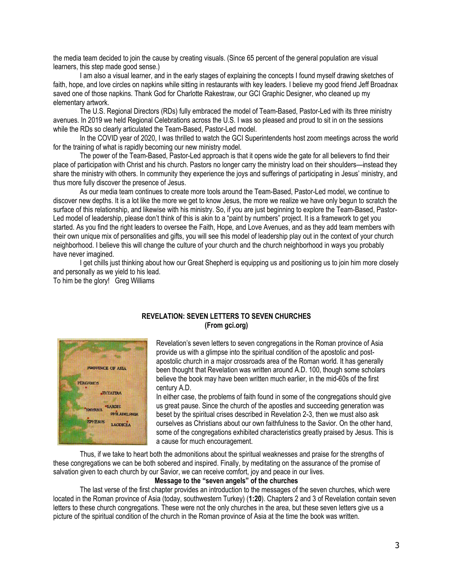the media team decided to join the cause by creating visuals. (Since 65 percent of the general population are visual learners, this step made good sense.)

I am also a visual learner, and in the early stages of explaining the concepts I found myself drawing sketches of faith, hope, and love circles on napkins while sitting in restaurants with key leaders. I believe my good friend Jeff Broadnax saved one of those napkins. Thank God for Charlotte Rakestraw, our GCI Graphic Designer, who cleaned up my elementary artwork.

The U.S. Regional Directors (RDs) fully embraced the model of Team-Based, Pastor-Led with its three ministry avenues. In 2019 we held Regional Celebrations across the U.S. I was so pleased and proud to sit in on the sessions while the RDs so clearly articulated the Team-Based, Pastor-Led model.

In the COVID year of 2020, I was thrilled to watch the GCI Superintendents host zoom meetings across the world for the training of what is rapidly becoming our new ministry model.

The power of the Team-Based, Pastor-Led approach is that it opens wide the gate for all believers to find their place of participation with Christ and his church. Pastors no longer carry the ministry load on their shoulders—instead they share the ministry with others. In community they experience the joys and sufferings of participating in Jesus' ministry, and thus more fully discover the presence of Jesus.

As our media team continues to create more tools around the Team-Based, Pastor-Led model, we continue to discover new depths. It is a lot like the more we get to know Jesus, the more we realize we have only begun to scratch the surface of this relationship, and likewise with his ministry. So, if you are just beginning to explore the Team-Based, Pastor-Led model of leadership, please don't think of this is akin to a "paint by numbers" project. It is a framework to get you started. As you find the right leaders to oversee the Faith, Hope, and Love Avenues, and as they add team members with their own unique mix of personalities and gifts, you will see this model of leadership play out in the context of your church neighborhood. I believe this will change the culture of your church and the church neighborhood in ways you probably have never imagined.

I get chills just thinking about how our Great Shepherd is equipping us and positioning us to join him more closely and personally as we yield to his lead.

To him be the glory! Greg Williams



# **REVELATION: SEVEN LETTERS TO SEVEN CHURCHES (From gci.org)**

Revelation's seven letters to seven congregations in the Roman province of Asia provide us with a glimpse into the spiritual condition of the apostolic and postapostolic church in a major crossroads area of the Roman world. It has generally been thought that Revelation was written around A.D. 100, though some scholars believe the book may have been written much earlier, in the mid-60s of the first century A.D.

In either case, the problems of faith found in some of the congregations should give us great pause. Since the church of the apostles and succeeding generation was beset by the spiritual crises described in Revelation 2-3, then we must also ask ourselves as Christians about our own faithfulness to the Savior. On the other hand, some of the congregations exhibited characteristics greatly praised by Jesus. This is a cause for much encouragement.

Thus, if we take to heart both the admonitions about the spiritual weaknesses and praise for the strengths of these congregations we can be both sobered and inspired. Finally, by meditating on the assurance of the promise of salvation given to each church by our Savior, we can receive comfort, joy and peace in our lives.

## **Message to the "seven angels" of the churches**

The last verse of the first chapter provides an introduction to the messages of the seven churches, which were located in the Roman province of Asia (today, southwestern Turkey) (**1:20**). Chapters 2 and 3 of Revelation contain seven letters to these church congregations. These were not the only churches in the area, but these seven letters give us a picture of the spiritual condition of the church in the Roman province of Asia at the time the book was written.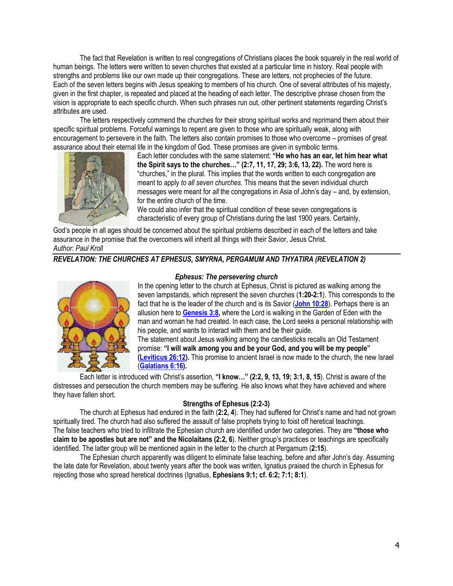The fact that Revelation is written to real congregations of Christians places the book squarely in the real world of human beings. The letters were written to seven churches that existed at a particular time in history. Real people with strengths and problems like our own made up their congregations. These are letters, not prophecies of the future. Each of the seven letters begins with Jesus speaking to members of his church. One of several attributes of his majesty, given in the first chapter, is repeated and placed at the heading of each letter. The descriptive phrase chosen from the vision is appropriate to each specific church. When such phrases run out, other pertinent statements regarding Christ's attributes are used.

The letters respectively commend the churches for their strong spiritual works and reprimand them about their specific spiritual problems. Forceful warnings to repent are given to those who are spiritually weak, along with encouragement to persevere in the faith. The letters also contain promises to those who overcome – promises of great assurance about their eternal life in the kingdom of God. These promises are given in symbolic terms.



Each letter concludes with the same statement: **"He who has an ear, let him hear what the Spirit says to the churches…" (2:7, 11, 17, 29; 3:6, 13, 22).** The word here is "churches," in the plural. This implies that the words written to each congregation are meant to apply *to all seven churches.* This means that the seven individual church messages were meant for *all* the congregations in Asia of John's day – and, by extension, for the entire church of the time.

We could also infer that the spiritual condition of these seven congregations is characteristic of every group of Christians during the last 1900 years. Certainly,

God's people in all ages should be concerned about the spiritual problems described in each of the letters and take assurance in the promise that the overcomers will inherit all things with their Savior, Jesus Christ. *Author: Paul Kroll*

## *REVELATION: THE CHURCHES AT EPHESUS, SMYRNA, PERGAMUM AND THYATIRA (REVELATION 2)*



### *Ephesus: The persevering church*

In the opening letter to the church at Ephesus, Christ is pictured as walking among the seven lampstands, which represent the seven churches (**1:20-2:1**). This corresponds to the fact that he is the leader of the church and is its Savior (**[John 10:28](https://biblia.com/bible/niv/John%2010.28)**). Perhaps there is an allusion here to **[Genesis 3:8,](https://biblia.com/bible/niv/Gen%203.8)** where the Lord is walking in the Garden of Eden with the man and woman he had created. In each case, the Lord seeks a personal relationship with his people, and wants to interact with them and be their guide.

The statement about Jesus walking among the candlesticks recalls an Old Testament promise: **"I will walk among you and be your God, and you will be my people" [\(Leviticus 26:12\)](https://biblia.com/bible/niv/Lev%2026.12).** This promise to ancient Israel is now made to the church, the new Israel (**[Galatians 6:16\)](https://biblia.com/bible/niv/Gal%206.16).**

Each letter is introduced with Christ's assertion, **"I know…" (2:2, 9, 13, 19; 3:1, 8, 15**). Christ is aware of the distresses and persecution the church members may be suffering. He also knows what they have achieved and where they have fallen short.

## **Strengths of Ephesus (2:2-3)**

The church at Ephesus had endured in the faith (**2:2, 4**). They had suffered for Christ's name and had not grown spiritually tired. The church had also suffered the assault of false prophets trying to foist off heretical teachings. The false teachers who tried to infiltrate the Ephesian church are identified under two categories. They are **"those who claim to be apostles but are not" and the Nicolaitans (2:2, 6**). Neither group's practices or teachings are specifically identified. The latter group will be mentioned again in the letter to the church at Pergamum (**2:15**).

The Ephesian church apparently was diligent to eliminate false teaching, before and after John's day. Assuming the late date for Revelation, about twenty years after the book was written, Ignatius praised the church in Ephesus for rejecting those who spread heretical doctrines (Ignatius, **Ephesians 9:1; cf. 6:2; 7:1; 8:1**).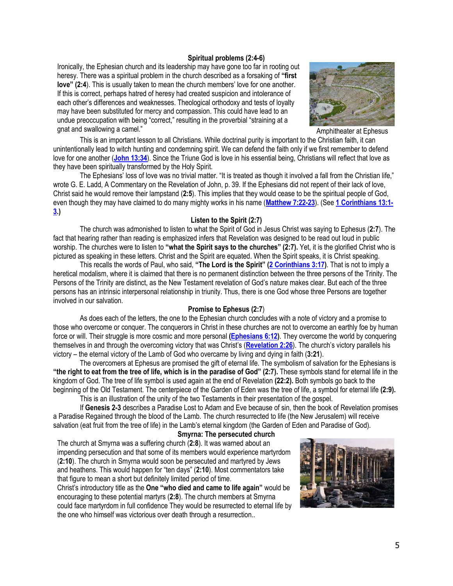#### **Spiritual problems (2:4-6)**

Ironically, the Ephesian church and its leadership may have gone too far in rooting out heresy. There was a spiritual problem in the church described as a forsaking of **"first love" (2:4**). This is usually taken to mean the church members' love for one another. If this is correct, perhaps hatred of heresy had created suspicion and intolerance of each other's differences and weaknesses. Theological orthodoxy and tests of loyalty may have been substituted for mercy and compassion. This could have lead to an undue preoccupation with being "correct," resulting in the proverbial "straining at a gnat and swallowing a camel." The same of the state of the state of the Amphitheater at Ephesus



This is an important lesson to all Christians. While doctrinal purity is important to the Christian faith, it can unintentionally lead to witch hunting and condemning spirit. We can defend the faith only if we first remember to defend love for one another (**[John 13:34](https://biblia.com/bible/niv/John%2013.34)**). Since the Triune God is love in his essential being, Christians will reflect that love as they have been spiritually transformed by the Holy Spirit.

The Ephesians' loss of love was no trivial matter. "It is treated as though it involved a fall from the Christian life," wrote G. E. Ladd, A Commentary on the Revelation of John, p. 39. If the Ephesians did not repent of their lack of love, Christ said he would remove their lampstand (**2:5**). This implies that they would cease to be the spiritual people of God, even though they may have claimed to do many mighty works in his name (**[Matthew 7:22-23](https://biblia.com/bible/niv/Matt%207.22-23)**). (See **[1 Corinthians 13:1-](https://biblia.com/bible/niv/1%20Cor%2013.1-3) [3.](https://biblia.com/bible/niv/1%20Cor%2013.1-3))**

#### **Listen to the Spirit (2:7)**

The church was admonished to listen to what the Spirit of God in Jesus Christ was saying to Ephesus (**2:7**). The fact that hearing rather than reading is emphasized infers that Revelation was designed to be read out loud in public worship. The churches were to listen to **"what the Spirit says to the churches" (2:7).** Yet, it is the glorified Christ who is pictured as speaking in these letters. Christ and the Spirit are equated. When the Spirit speaks, it is Christ speaking.

This recalls the words of Paul, who said, **"The Lord is the Spirit" ([2 Corinthians 3:17\)](https://biblia.com/bible/niv/2%20Cor%203.17)**. That is not to imply a heretical modalism, where it is claimed that there is no permanent distinction between the three persons of the Trinity. The Persons of the Trinity are distinct, as the New Testament revelation of God's nature makes clear. But each of the three persons has an intrinsic interpersonal relationship in triunity. Thus, there is one God whose three Persons are together involved in our salvation.

### **Promise to Ephesus (2:7**)

As does each of the letters, the one to the Ephesian church concludes with a note of victory and a promise to those who overcome or conquer. The conquerors in Christ in these churches are not to overcome an earthly foe by human force or will. Their struggle is more cosmic and more personal **[\(Ephesians 6:12\)](https://biblia.com/bible/niv/Eph%206.12)**. They overcome the world by conquering themselves in and through the overcoming victory that was Christ's (**[Revelation 2:26](https://biblia.com/bible/niv/Rev%202.26)**). The church's victory parallels his victory – the eternal victory of the Lamb of God who overcame by living and dying in faith (**3:21**).

The overcomers at Ephesus are promised the gift of eternal life. The symbolism of salvation for the Ephesians is **"the right to eat from the tree of life, which is in the paradise of God" (2:7).** These symbols stand for eternal life in the kingdom of God. The tree of life symbol is used again at the end of Revelation **(22:2).** Both symbols go back to the beginning of the Old Testament. The centerpiece of the Garden of Eden was the tree of life, a symbol for eternal life **(2:9).** This is an illustration of the unity of the two Testaments in their presentation of the gospel.

If **Genesis 2-3** describes a Paradise Lost to Adam and Eve because of sin, then the book of Revelation promises a Paradise Regained through the blood of the Lamb. The church resurrected to life (the New Jerusalem) will receive salvation (eat fruit from the tree of life) in the Lamb's eternal kingdom (the Garden of Eden and Paradise of God).

#### **Smyrna: The persecuted church**

The church at Smyrna was a suffering church (**2:8**). It was warned about an impending persecution and that some of its members would experience martyrdom (**2:10**). The church in Smyrna would soon be persecuted and martyred by Jews and heathens. This would happen for "ten days" (**2:10**). Most commentators take that figure to mean a short but definitely limited period of time.

Christ's introductory title as the **One "who died and came to life again"** would be encouraging to these potential martyrs (**2:8**). The church members at Smyrna could face martyrdom in full confidence They would be resurrected to eternal life by the one who himself was victorious over death through a resurrection..